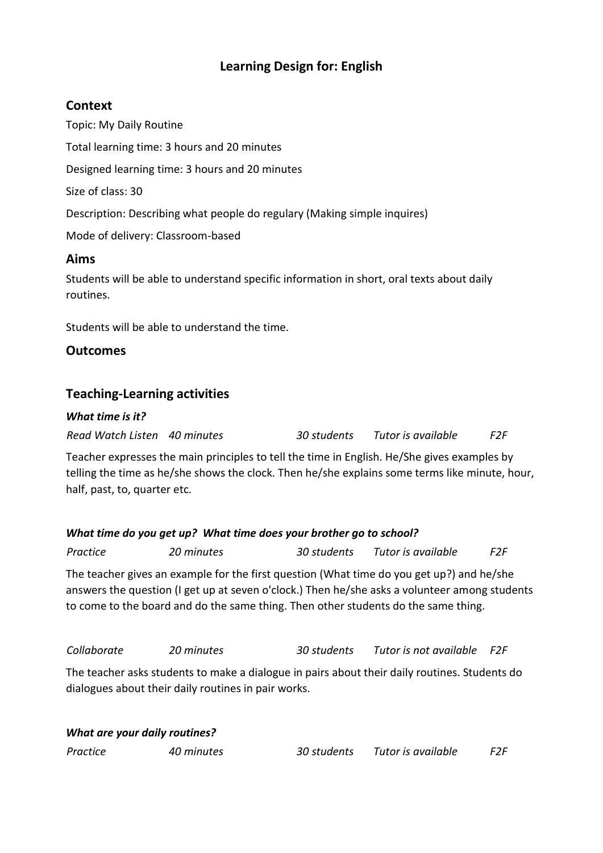# **Learning Design for: English**

## **Context**

Topic: My Daily Routine Total learning time: 3 hours and 20 minutes Designed learning time: 3 hours and 20 minutes Size of class: 30 Description: Describing what people do regulary (Making simple inquires) Mode of delivery: Classroom-based **Aims**

Students will be able to understand specific information in short, oral texts about daily routines.

Students will be able to understand the time.

## **Outcomes**

## **Teaching-Learning activities**

#### *What time is it?*

*Read Watch Listen 40 minutes 30 students Tutor is available F2F*

Teacher expresses the main principles to tell the time in English. He/She gives examples by telling the time as he/she shows the clock. Then he/she explains some terms like minute, hour, half, past, to, quarter etc.

#### *What time do you get up? What time does your brother go to school?*

*Practice 20 minutes 30 students Tutor is available F2F*

The teacher gives an example for the first question (What time do you get up?) and he/she answers the question (I get up at seven o'clock.) Then he/she asks a volunteer among students to come to the board and do the same thing. Then other students do the same thing.

*Collaborate 20 minutes 30 students Tutor is not available F2F*

The teacher asks students to make a dialogue in pairs about their daily routines. Students do dialogues about their daily routines in pair works.

#### *What are your daily routines?*

*Practice 40 minutes 30 students Tutor is available F2F*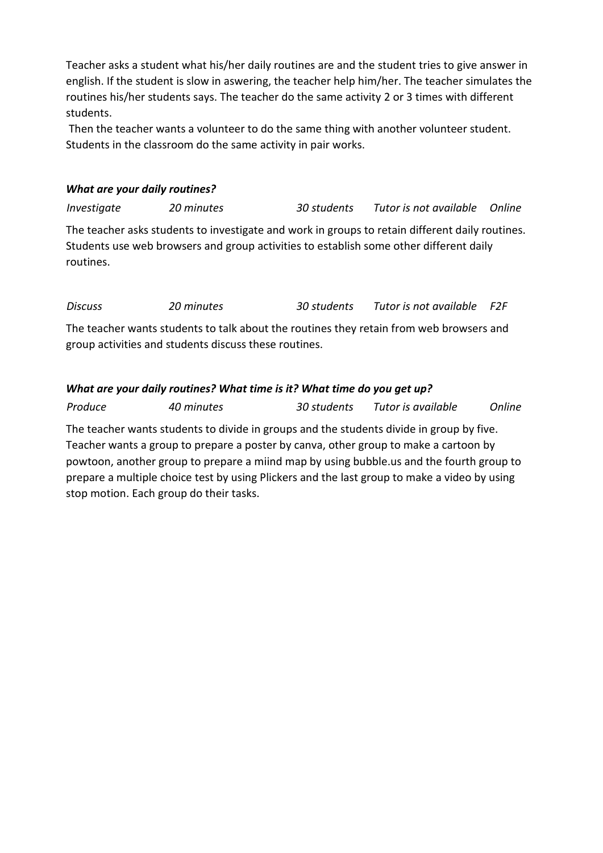Teacher asks a student what his/her daily routines are and the student tries to give answer in english. If the student is slow in aswering, the teacher help him/her. The teacher simulates the routines his/her students says. The teacher do the same activity 2 or 3 times with different students.

Then the teacher wants a volunteer to do the same thing with another volunteer student. Students in the classroom do the same activity in pair works.

## *What are your daily routines?*

*Investigate 20 minutes 30 students Tutor is not available Online* The teacher asks students to investigate and work in groups to retain different daily routines. Students use web browsers and group activities to establish some other different daily routines.

*Discuss 20 minutes 30 students Tutor is not available F2F*

The teacher wants students to talk about the routines they retain from web browsers and group activities and students discuss these routines.

## *What are your daily routines? What time is it? What time do you get up?*

*Produce 40 minutes 30 students Tutor is available Online*

The teacher wants students to divide in groups and the students divide in group by five. Teacher wants a group to prepare a poster by canva, other group to make a cartoon by powtoon, another group to prepare a miind map by using bubble.us and the fourth group to prepare a multiple choice test by using Plickers and the last group to make a video by using stop motion. Each group do their tasks.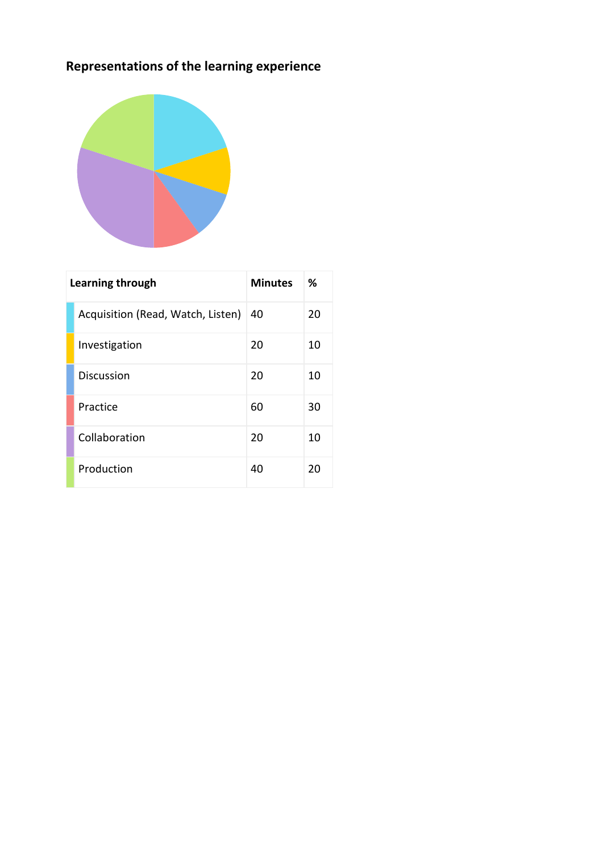# **Representations of the learning experience**



| Learning through |                                   | <b>Minutes</b> | ℅  |
|------------------|-----------------------------------|----------------|----|
|                  | Acquisition (Read, Watch, Listen) | 40             | 20 |
|                  | Investigation                     | 20             | 10 |
|                  | <b>Discussion</b>                 | 20             | 10 |
|                  | Practice                          | 60             | 30 |
|                  | Collaboration                     | 20             | 10 |
|                  | Production                        | 40             | 20 |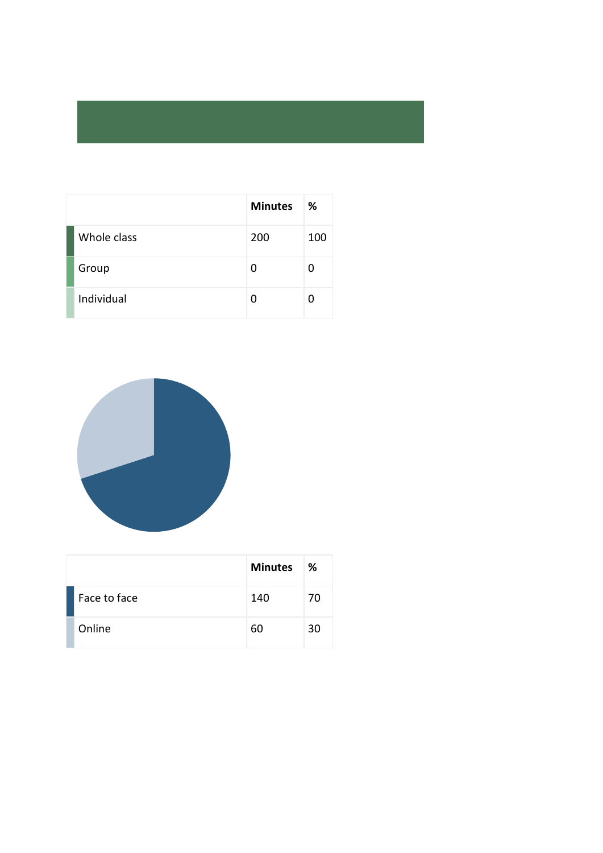|             | <b>Minutes</b> | %   |
|-------------|----------------|-----|
| Whole class | 200            | 100 |
| Group       | 0              | O   |
| Individual  | U              |     |



|              | <b>Minutes</b> | ℅  |
|--------------|----------------|----|
| Face to face | 140            | 70 |
| Online       | 60             | 30 |